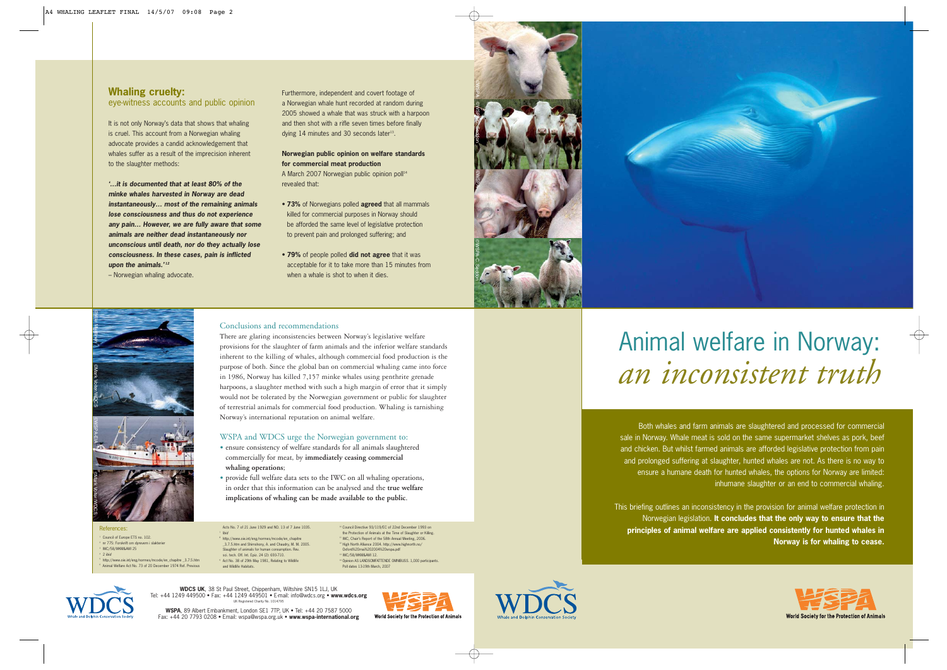### **Whaling cruelty:**  eye-witness accounts and public opinion

It is not only Norway's data that shows that whaling is cruel. This account from a Norwegian whaling advocate provides a candid acknowledgement that whales suffer as a result of the imprecision inherent to the slaughter methods:

**'…it is documented that at least 80% of the minke whales harvested in Norway are dead instantaneously… most of the remaining animals lose consciousness and thus do not experience any pain… However, we are fully aware that some animals are neither dead instantaneously nor unconscious until death, nor do they actually lose consciousness. In these cases, pain is inflicted upon the animals.' <sup>12</sup>**

– Norwegian whaling advocate.

Furthermore, independent and covert footage of a Norwegian whale hunt recorded at random during 2005 showed a whale that was struck with a harpoon and then shot with a rifle seven times before finally dying 14 minutes and 30 seconds later<sup>13</sup>.

**Norwegian public opinion on welfare standards for commercial meat production** A March 2007 Norwegian public opinion poll<sup>14</sup> revealed that:

- **73%** of Norwegians polled **agreed** that all mammals killed for commercial purposes in Norway should be afforded the same level of legislative protection to prevent pain and prolonged suffering; and
- **79%** of people polled **did not agree** that it was acceptable for it to take more than 15 minutes from when a whale is shot to when it dies.





#### Conclusions and recommendations

There are glaring inconsistencies between Norway's legislative welfare provisions for the slaughter of farm animals and the inferior welfare standards inherent to the killing of whales, although commercial food production is the purpose of both. Since the global ban on commercial whaling came into force in 1986, Norway has killed 7,157 minke whales using penthrite grenade harpoons, a slaughter method with such a high margin of error that it simply would not be tolerated by the Norwegian government or public for slaughter of terrestrial animals for commercial food production. Whaling is tarnishing Norway's international reputation on animal welfare.

#### WSPA and WDCS urge the Norwegian government to:

- ensure consistency of welfare standards for all animals slaughtered commercially for meat, by **immediately ceasing commercial whaling operations**;
- provide full welfare data sets to the IWC on all whaling operations, in order that this information can be analysed and the **true welfare implications of whaling can be made available to the public**.

Acts No. 7 of 21 June 1929 and NO. 13 of 7 June 1035. <sup>7</sup> Ibid <sup>8</sup> http://www.oie.int/eng/normes/mcode/en\_chapitre \_3.7.5.htm and Shimshony, A. and Chaudry, M. M. 2005. Slaughter of animals for human consumption. Rev. sci. tech. Off. Int. Epiz. 24 (2): 693-710. Act No. 38 of 29th May 1981, Relating to Wildlife and Wildlife Habitats.

<sup>10</sup> Council Directive 93/119/EC of 22nd December 1993 on the Protection of Animals at the Time of Slaughter or Killing. <sup>1</sup> IWC, Chair's Report of the 58th Annual Meeting, 2006. <sup>12</sup> High North Alliance 2004. http://www.highnorth.no/ Oxford%20mai%202004%20wspa.pdf <sup>13</sup> IWC/58/WKM&AWI 12. <sup>14</sup> Opinion AS LANDSOMFATTENDE OMNIBUSS. 1,000 participants. Poll dates 13-19th March, 2007

# Animal welfare in Norway: *an inconsistent truth*

Both whales and farm animals are slaughtered and processed for commercial sale in Norway. Whale meat is sold on the same supermarket shelves as pork, beef and chicken. But whilst farmed animals are afforded legislative protection from pain and prolonged suffering at slaughter, hunted whales are not. As there is no way to ensure a humane death for hunted whales, the options for Norway are limited: inhumane slaughter or an end to commercial whaling.

This briefing outlines an inconsistency in the provision for animal welfare protection in Norwegian legislation. **It concludes that the only way to ensure that the principles of animal welfare are applied consistently for hunted whales in Norway is for whaling to cease.**



References: Council of Europe ETS no. 102. nr 775: Forskrift om dyrevern i slakterie <sup>3</sup> IWC/58/WKM&AWI 25  $2$  ibid

©Ville Miettinen

©WSPA-EIA ©Mark Voiter/WDCS ©Mark Voiter/WDCS

> <sup>5</sup> http://www.oie.int/eng/normes/mcode/en\_chapitre \_3.7.5.htm Animal Welfare Act No. 73 of 20 December 1974 Ref. Previou

> > **WDCS UK**, 38 St Paul Street, Chippenham, Wiltshire SN15 1LJ, UK Tel: +44 1249 449500 • Fax: +44 1249 449501 • E-mail: info@wdcs.org • **www.wdcs.org** UK Registered Charity No. 1014795

**WSPA**, 89 Albert Embankment, London SE1 7TP, UK • Tel: +44 20 7587 5000 Fax: +44 20 7793 0208 • Email: wspa@wspa.org.uk • **www.wspa-international.org**